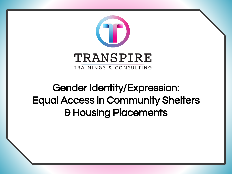

#### Gender Identity/Expression: Equal Access in Community Shelters & Housing Placements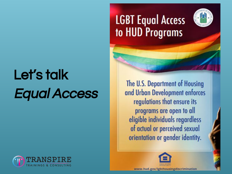# Let's talk Equal Access



### **LGBT Equal Access** to HUD Programs



The U.S. Department of Housing and Urban Development enforces regulations that ensure its programs are open to all eligible individuals regardless of actual or perceived sexual orientation or gender identity.

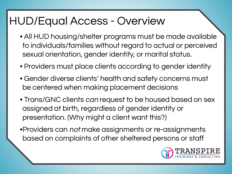#### HUD/Equal Access - Overview

- All HUD housing/shelter programs must be made available to individuals/families without regard to actual or perceived sexual orientation, gender identity, or marital status.
- Providers must place clients according to gender identity
- Gender diverse clients' health and safety concerns must be centered when making placement decisions
- Trans/GNC clients can request to be housed based on sex assigned at birth, regardless of gender identity or presentation. (Why might a client want this?)
- •Providers can *not* make assignments or re-assignments based on complaints of other sheltered persons or staff

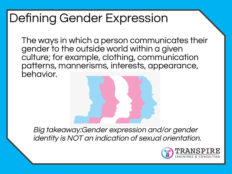### Defining Gender Expression

The ways in which a person communicates their gender to the outside world within a given culture; for example, clothing, communication patterns, mannerisms, interests, appearance, behavior.

Big takeaway:Gender expression and/or gender identity is NOT an indication of sexual orientation.

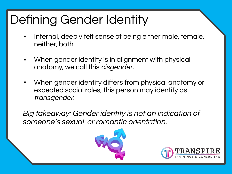# Defining Gender Identity

- Internal, deeply felt sense of being either male, female, neither, both
- When gender identity is in alignment with physical anatomy, we call this cisgender.
- When gender identity differs from physical anatomy or expected social roles, this person may identify as transgender.

Big takeaway: Gender identity is not an indication of someone's sexual or romantic orientation.



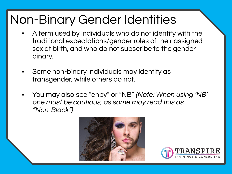### Non-Binary Gender Identities

- A term used by individuals who do not identify with the traditional expectations/gender roles of their assigned sex at birth, and who do not subscribe to the gender binary.
- Some non-binary individuals may identify as transgender, while others do not.
- You may also see "enby" or "NB" (Note: When using 'NB' one must be cautious, as some may read this as "Non-Black")



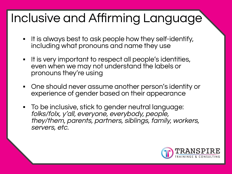# Inclusive and Affirming Language

- It is always best to ask people how they self-identify, including what pronouns and name they use
- It is very important to respect all people's identities, even when we may not understand the labels or pronouns they're using
- One should never assume another person's identity or experience of gender based on their appearance
- To be inclusive, stick to gender neutral language: folks/folx, y'all, everyone, everybody, people, they/them, parents, partners, siblings, family, workers, servers, etc.

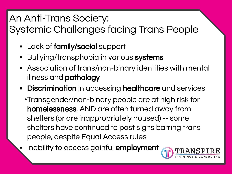#### An Anti-Trans Society:

Systemic Challenges facing Trans People

- Lack of **family/social** support
- **E** Bullying/transphobia in various systems
- **EXE** Association of trans/non-binary identities with mental illness and **pathology**
- **Discrimination** in accessing **healthcare** and services
	- •Transgender/non-binary people are at high risk for homelessness, AND are often turned away from shelters (or are inappropriately housed) -- some shelters have continued to post signs barring trans people, despite Equal Access rules
	- Inability to access gainful employment

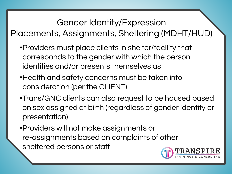#### Gender Identity/Expression Placements, Assignments, Sheltering (MDHT/HUD)

- •Providers must place clients in shelter/facility that corresponds to the gender with which the person identities and/or presents themselves as
- •Health and safety concerns must be taken into consideration (per the CLIENT)
- •Trans/GNC clients can also request to be housed based on sex assigned at birth (regardless of gender identity or presentation)
- •Providers will not make assignments or re-assignments based on complaints of other sheltered persons or staff

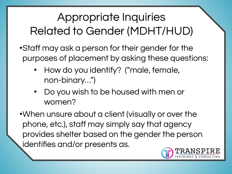### Appropriate Inquiries Related to Gender (MDHT/HUD)

•Staff may ask a person for their gender for the purposes of placement by asking these questions:

- How do you identify? ("male, female, non-binary…")
- Do you wish to be housed with men or women?
- •When unsure about a client (visually or over the phone, etc.), staff may simply say that agency provides shelter based on the gender the person identifies and/or presents as.

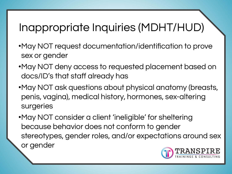### Inappropriate Inquiries (MDHT/HUD)

- •May NOT request documentation/identification to prove sex or gender
- •May NOT deny access to requested placement based on docs/ID's that staff already has
- •May NOT ask questions about physical anatomy (breasts, penis, vagina), medical history, hormones, sex-altering surgeries
- •May NOT consider a client 'ineligible' for sheltering because behavior does not conform to gender stereotypes, gender roles, and/or expectations around sex or gender

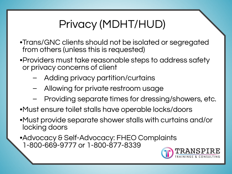### Privacy (MDHT/HUD)

- •Trans/GNC clients should not be isolated or segregated from others (unless this is requested)
- •Providers must take reasonable steps to address safety or privacy concerns of client
	- Adding privacy partition/curtains
	- Allowing for private restroom usage
	- Providing separate times for dressing/showers, etc.
- •Must ensure toilet stalls have operable locks/doors
- •Must provide separate shower stalls with curtains and/or locking doors
- •Advocacy & Self-Advocacy: FHEO Complaints 1-800-669-9777 or 1-800-877-8339

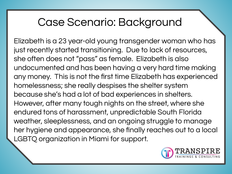#### Case Scenario: Background

Elizabeth is a 23 year-old young transgender woman who has just recently started transitioning. Due to lack of resources, she often does not "pass" as female. Elizabeth is also undocumented and has been having a very hard time making any money. This is not the first time Elizabeth has experienced homelessness; she really despises the shelter system because she's had a lot of bad experiences in shelters. However, after many tough nights on the street, where she endured tons of harassment, unpredictable South Florida weather, sleeplessness, and an ongoing struggle to manage her hygiene and appearance, she finally reaches out to a local LGBTQ organization in Miami for support.

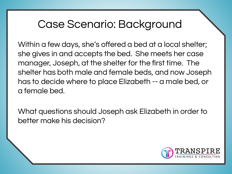#### Case Scenario: Background

Within a few days, she's offered a bed at a local shelter; she gives in and accepts the bed. She meets her case manager, Joseph, at the shelter for the first time. The shelter has both male and female beds, and now Joseph has to decide where to place Elizabeth -- a male bed, or a female bed.

What questions should Joseph ask Elizabeth in order to better make his decision?

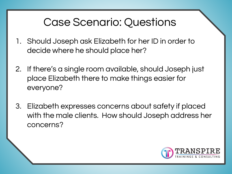#### Case Scenario: Questions

- 1. Should Joseph ask Elizabeth for her ID in order to decide where he should place her?
- 2. If there's a single room available, should Joseph just place Elizabeth there to make things easier for everyone?
- 3. Elizabeth expresses concerns about safety if placed with the male clients. How should Joseph address her concerns?

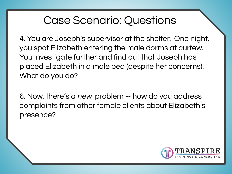#### Case Scenario: Questions

4. You are Joseph's supervisor at the shelter. One night, you spot Elizabeth entering the male dorms at curfew. You investigate further and find out that Joseph has placed Elizabeth in a male bed (despite her concerns). What do you do?

6. Now, there's a new problem -- how do you address complaints from other female clients about Elizabeth's presence?

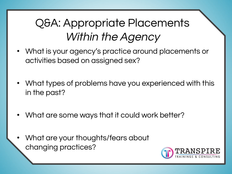### Q&A: Appropriate Placements Within the Agency

- What is your agency's practice around placements or activities based on assigned sex?
- What types of problems have you experienced with this in the past?
- What are some ways that it could work better?
- What are your thoughts/fears about changing practices?